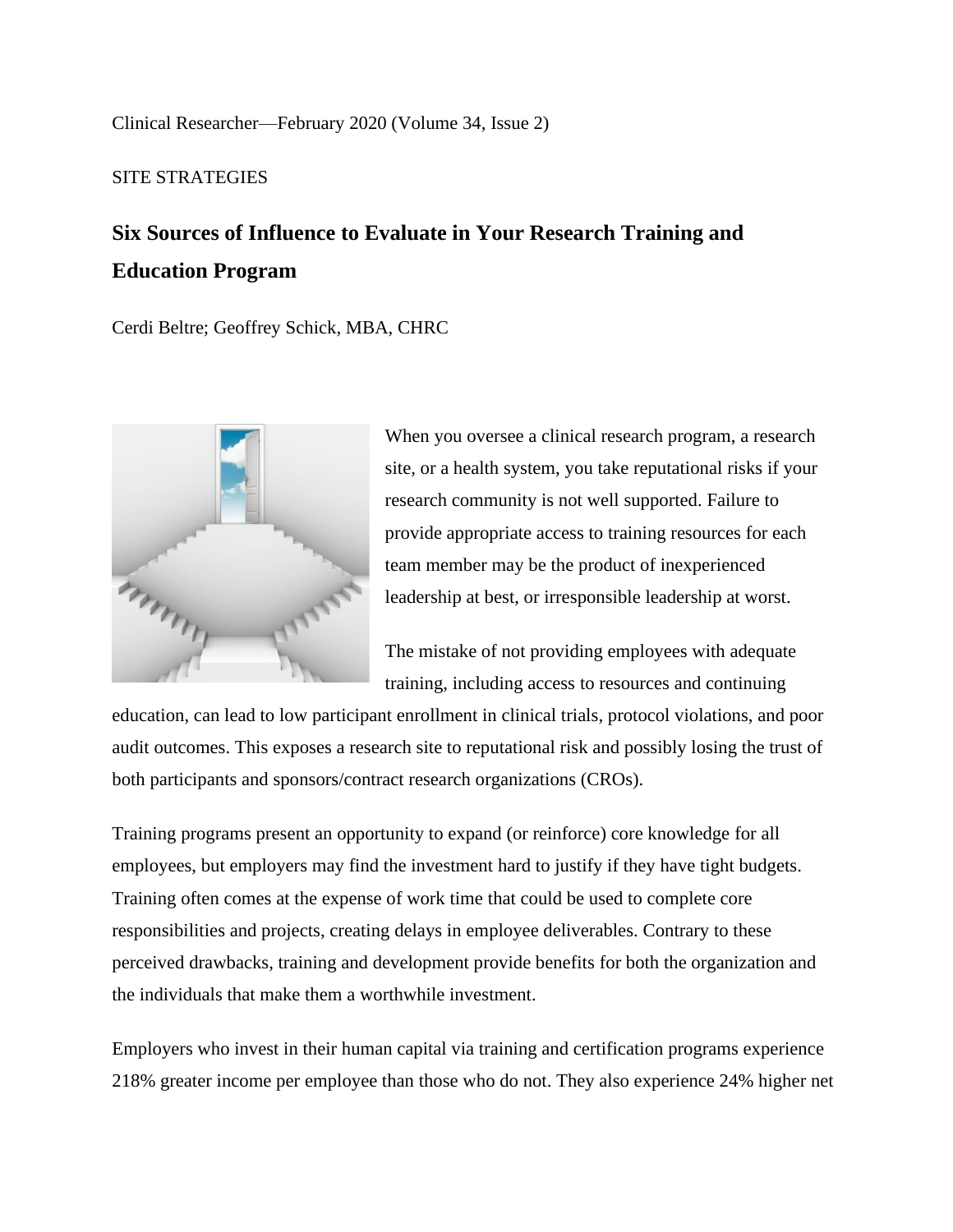Clinical Researcher—February 2020 (Volume 34, Issue 2)

## SITE STRATEGIES

# **Six Sources of Influence to Evaluate in Your Research Training and Education Program**

Cerdi Beltre; Geoffrey Schick, MBA, CHRC



When you oversee a clinical research program, a research site, or a health system, you take reputational risks if your research community is not well supported. Failure to provide appropriate access to training resources for each team member may be the product of inexperienced leadership at best, or irresponsible leadership at worst.

The mistake of not providing employees with adequate training, including access to resources and continuing

education, can lead to low participant enrollment in clinical trials, protocol violations, and poor audit outcomes. This exposes a research site to reputational risk and possibly losing the trust of both participants and sponsors/contract research organizations (CROs).

Training programs present an opportunity to expand (or reinforce) core knowledge for all employees, but employers may find the investment hard to justify if they have tight budgets. Training often comes at the expense of work time that could be used to complete core responsibilities and projects, creating delays in employee deliverables. Contrary to these perceived drawbacks, training and development provide benefits for both the organization and the individuals that make them a worthwhile investment.

Employers who invest in their human capital via training and certification programs experience 218% greater income per employee than those who do not. They also experience 24% higher net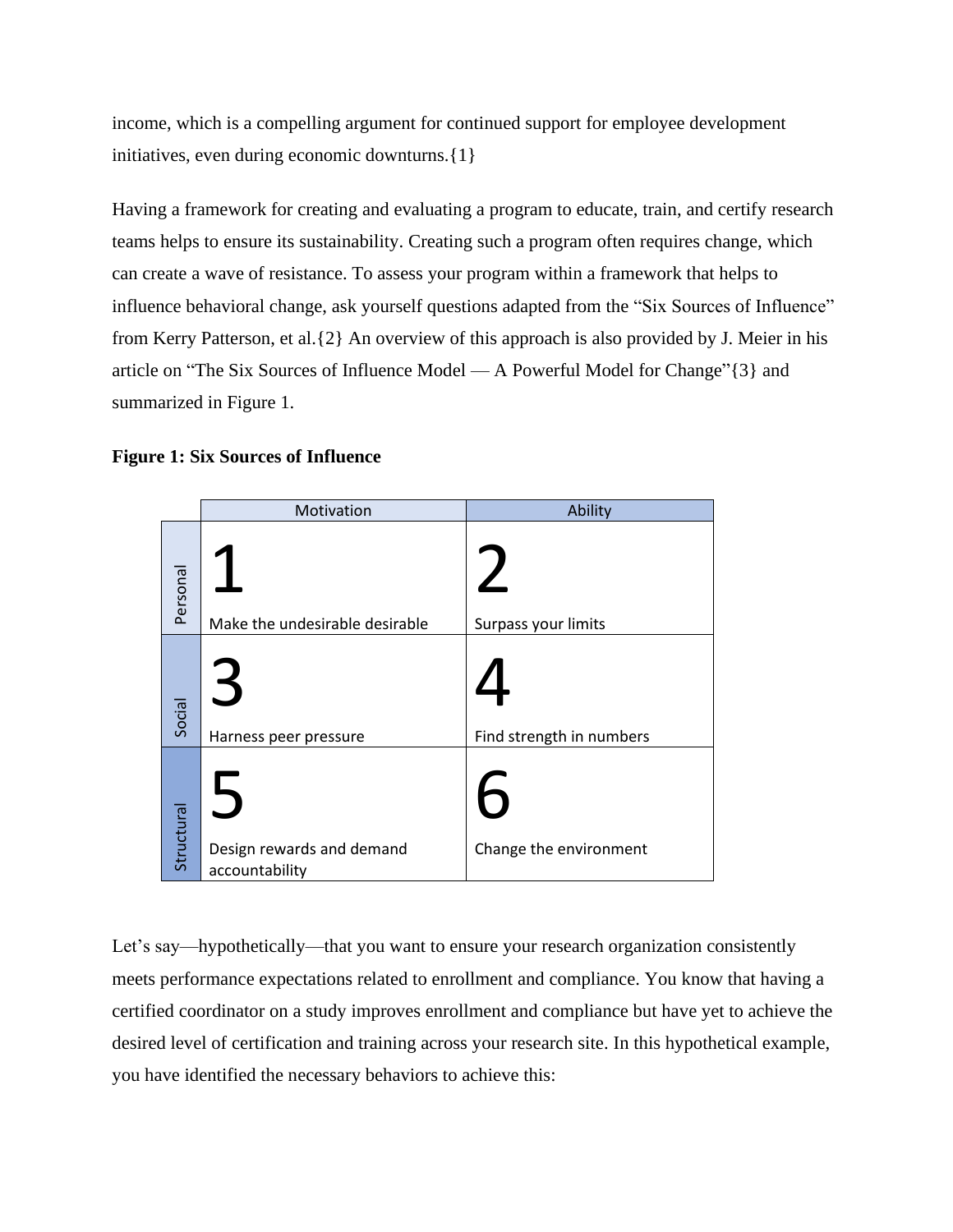income, which is a compelling argument for continued support for employee development initiatives, even during economic downturns.{1}

Having a framework for creating and evaluating a program to educate, train, and certify research teams helps to ensure its sustainability. Creating such a program often requires change, which can create a wave of resistance. To assess your program within a framework that helps to influence behavioral change, ask yourself questions adapted from the "Six Sources of Influence" from Kerry Patterson, et al.{2} An overview of this approach is also provided by J. Meier in his article on "The Six Sources of Influence Model — A Powerful Model for Change"{3} and summarized in Figure 1.

## **Figure 1: Six Sources of Influence**

|            | Motivation                                  | Ability                  |  |
|------------|---------------------------------------------|--------------------------|--|
| Personal   | Make the undesirable desirable              | Surpass your limits      |  |
| Social     | $\preceq$<br>Harness peer pressure          | Find strength in numbers |  |
| Structural | Design rewards and demand<br>accountability | Change the environment   |  |

Let's say—hypothetically—that you want to ensure your research organization consistently meets performance expectations related to enrollment and compliance. You know that having a certified coordinator on a study improves enrollment and compliance but have yet to achieve the desired level of certification and training across your research site. In this hypothetical example, you have identified the necessary behaviors to achieve this: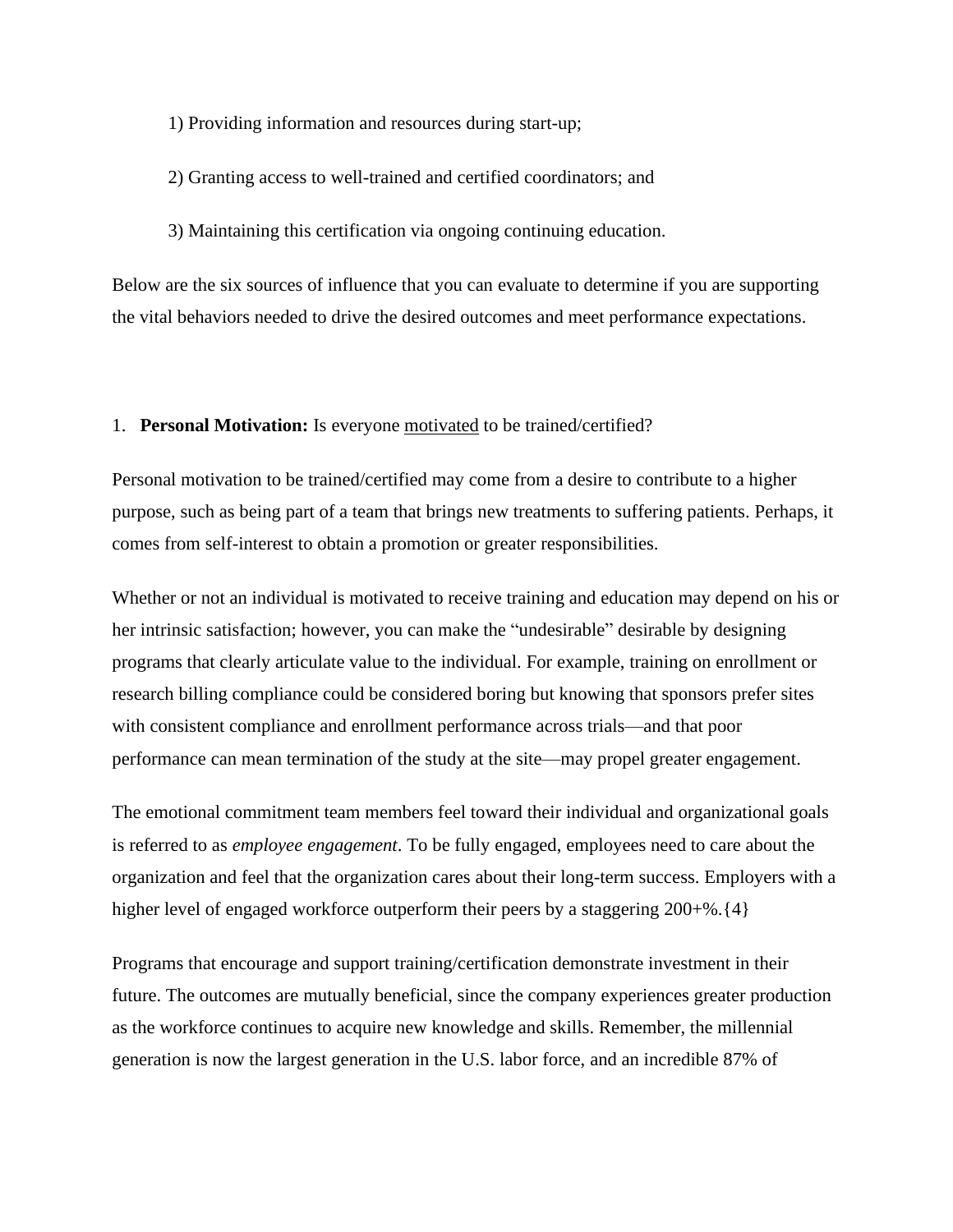1) Providing information and resources during start-up;

2) Granting access to well-trained and certified coordinators; and

3) Maintaining this certification via ongoing continuing education.

Below are the six sources of influence that you can evaluate to determine if you are supporting the vital behaviors needed to drive the desired outcomes and meet performance expectations.

#### 1. **Personal Motivation:** Is everyone motivated to be trained/certified?

Personal motivation to be trained/certified may come from a desire to contribute to a higher purpose, such as being part of a team that brings new treatments to suffering patients. Perhaps, it comes from self-interest to obtain a promotion or greater responsibilities.

Whether or not an individual is motivated to receive training and education may depend on his or her intrinsic satisfaction; however, you can make the "undesirable" desirable by designing programs that clearly articulate value to the individual. For example, training on enrollment or research billing compliance could be considered boring but knowing that sponsors prefer sites with consistent compliance and enrollment performance across trials—and that poor performance can mean termination of the study at the site—may propel greater engagement.

The emotional commitment team members feel toward their individual and organizational goals is referred to as *employee engagement*. To be fully engaged, employees need to care about the organization and feel that the organization cares about their long-term success. Employers with a higher level of engaged workforce outperform their peers by a staggering 200+%. {4}

Programs that encourage and support training/certification demonstrate investment in their future. The outcomes are mutually beneficial, since the company experiences greater production as the workforce continues to acquire new knowledge and skills. Remember, the millennial generation is now the largest generation in the U.S. labor force, and an incredible 87% of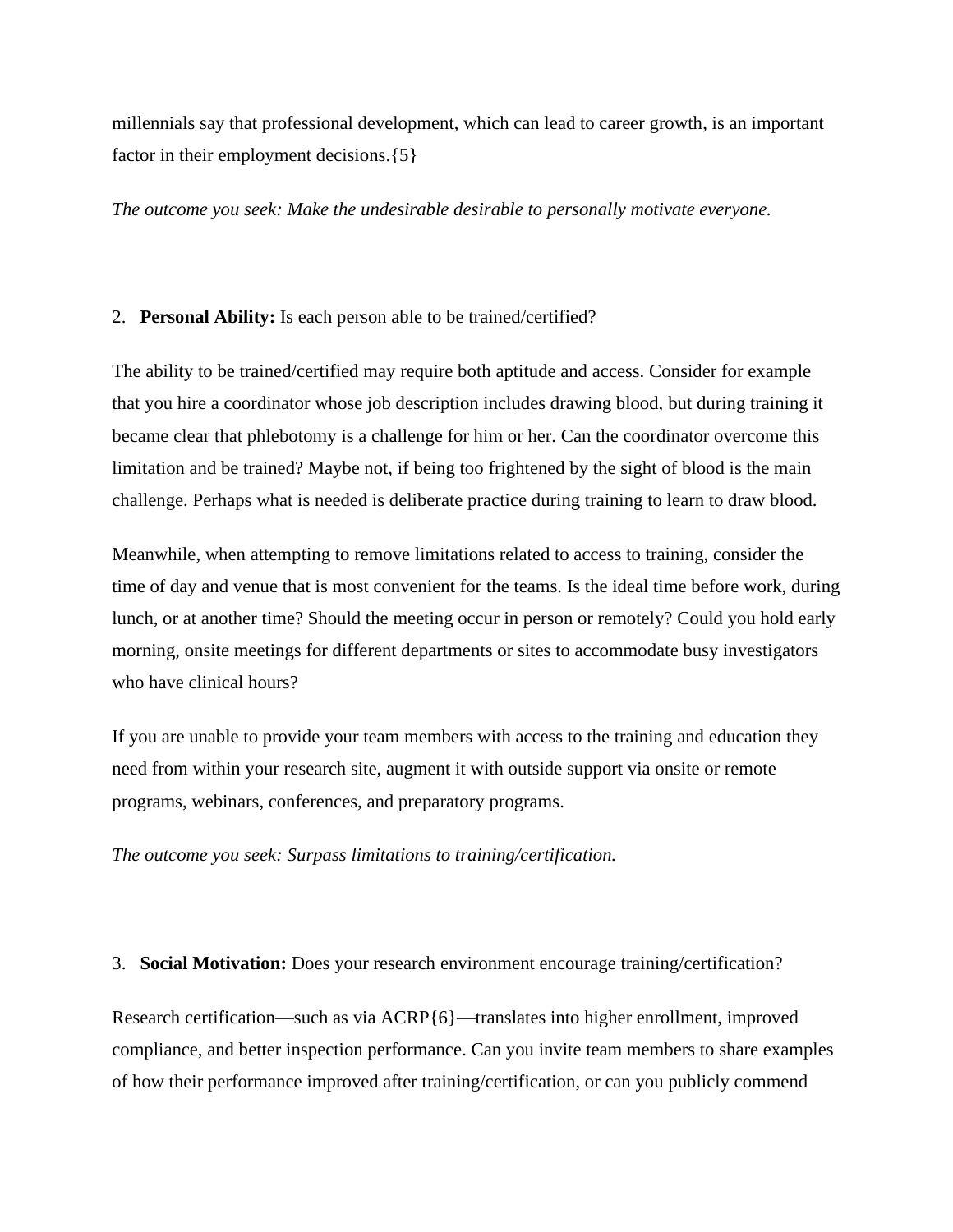millennials say that professional development, which can lead to career growth, is an important factor in their employment decisions.{5}

*The outcome you seek: Make the undesirable desirable to personally motivate everyone.*

#### 2. **Personal Ability:** Is each person able to be trained/certified?

The ability to be trained/certified may require both aptitude and access. Consider for example that you hire a coordinator whose job description includes drawing blood, but during training it became clear that phlebotomy is a challenge for him or her. Can the coordinator overcome this limitation and be trained? Maybe not, if being too frightened by the sight of blood is the main challenge. Perhaps what is needed is deliberate practice during training to learn to draw blood.

Meanwhile, when attempting to remove limitations related to access to training, consider the time of day and venue that is most convenient for the teams. Is the ideal time before work, during lunch, or at another time? Should the meeting occur in person or remotely? Could you hold early morning, onsite meetings for different departments or sites to accommodate busy investigators who have clinical hours?

If you are unable to provide your team members with access to the training and education they need from within your research site, augment it with outside support via onsite or remote programs, webinars, conferences, and preparatory programs.

*The outcome you seek: Surpass limitations to training/certification.*

#### 3. **Social Motivation:** Does your research environment encourage training/certification?

Research certification—such as via ACRP{6}—translates into higher enrollment, improved compliance, and better inspection performance. Can you invite team members to share examples of how their performance improved after training/certification, or can you publicly commend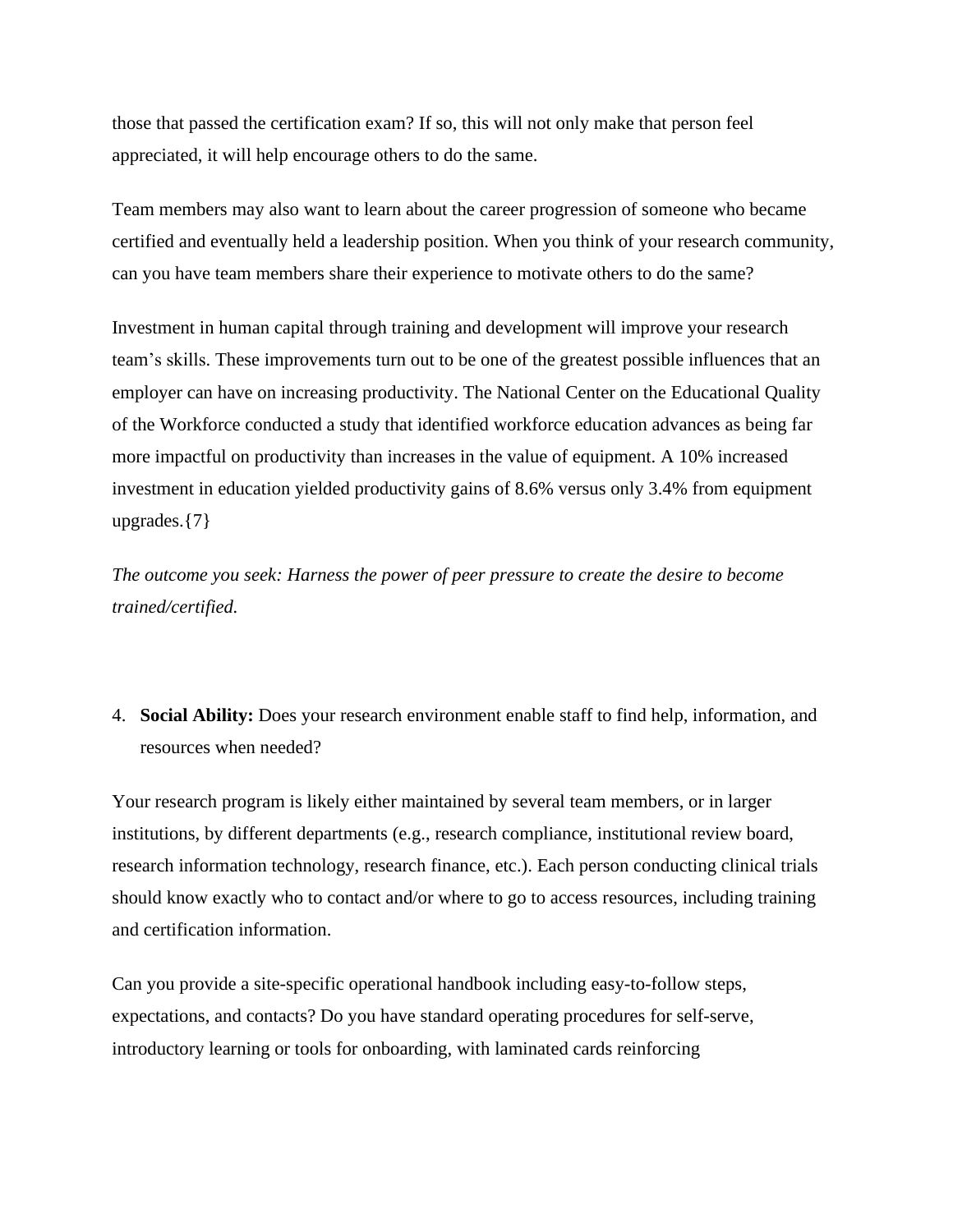those that passed the certification exam? If so, this will not only make that person feel appreciated, it will help encourage others to do the same.

Team members may also want to learn about the career progression of someone who became certified and eventually held a leadership position. When you think of your research community, can you have team members share their experience to motivate others to do the same?

Investment in human capital through training and development will improve your research team's skills. These improvements turn out to be one of the greatest possible influences that an employer can have on increasing productivity. The National Center on the Educational Quality of the Workforce conducted a study that identified workforce education advances as being far more impactful on productivity than increases in the value of equipment. A 10% increased investment in education yielded productivity gains of 8.6% versus only 3.4% from equipment upgrades.{7}

*The outcome you seek: Harness the power of peer pressure to create the desire to become trained/certified.*

4. **Social Ability:** Does your research environment enable staff to find help, information, and resources when needed?

Your research program is likely either maintained by several team members, or in larger institutions, by different departments (e.g., research compliance, institutional review board, research information technology, research finance, etc.). Each person conducting clinical trials should know exactly who to contact and/or where to go to access resources, including training and certification information.

Can you provide a site-specific operational handbook including easy-to-follow steps, expectations, and contacts? Do you have standard operating procedures for self-serve, introductory learning or tools for onboarding, with laminated cards reinforcing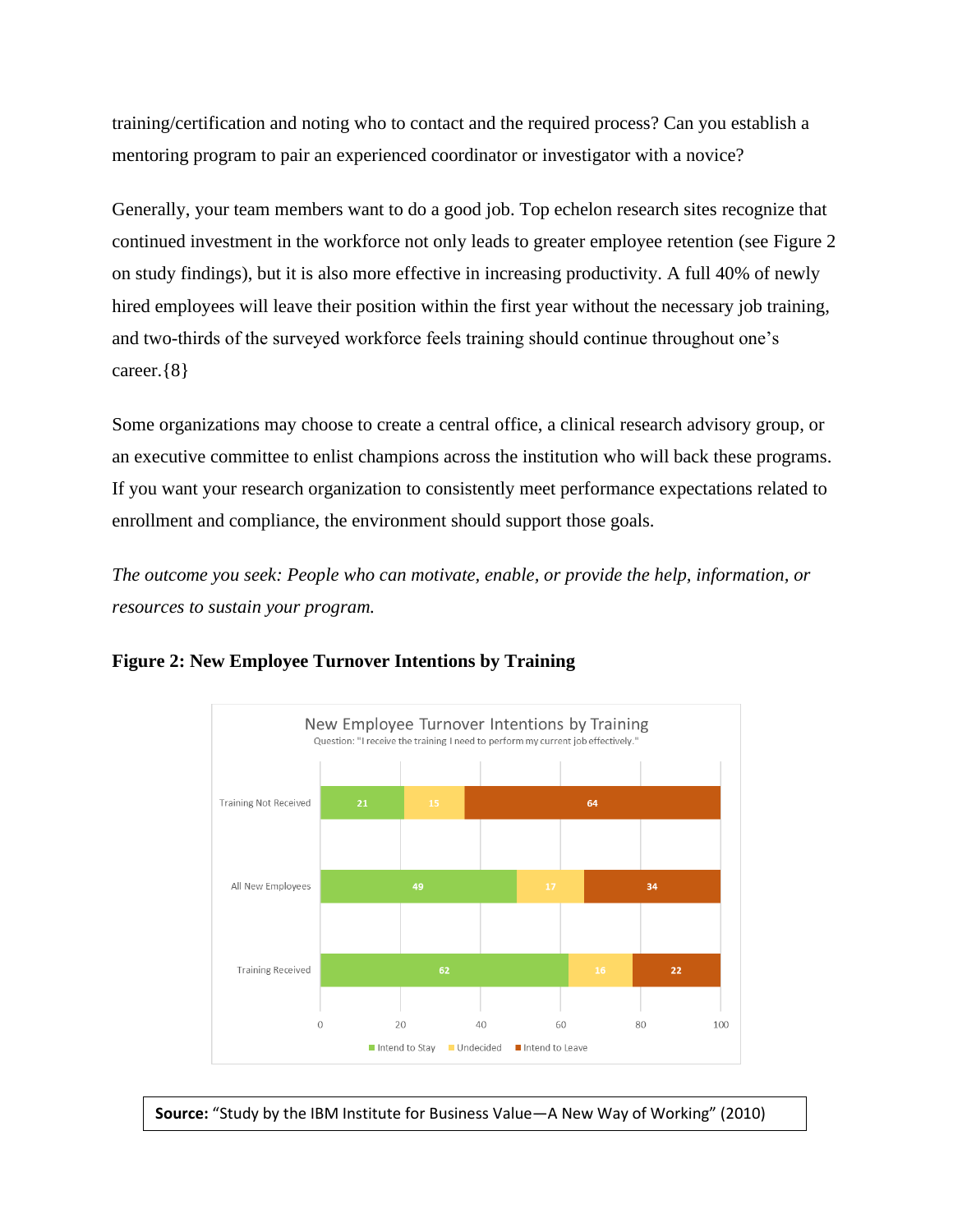training/certification and noting who to contact and the required process? Can you establish a mentoring program to pair an experienced coordinator or investigator with a novice?

Generally, your team members want to do a good job. Top echelon research sites recognize that continued investment in the workforce not only leads to greater employee retention (see Figure 2 on study findings), but it is also more effective in increasing productivity. A full 40% of newly hired employees will leave their position within the first year without the necessary job training, and two-thirds of the surveyed workforce feels training should continue throughout one's career.{8}

Some organizations may choose to create a central office, a clinical research advisory group, or an executive committee to enlist champions across the institution who will back these programs. If you want your research organization to consistently meet performance expectations related to enrollment and compliance, the environment should support those goals.

*The outcome you seek: People who can motivate, enable, or provide the help, information, or resources to sustain your program.*



**Figure 2: New Employee Turnover Intentions by Training**

**Source:** "Study by the IBM Institute for Business Value—A New Way of Working" (2010)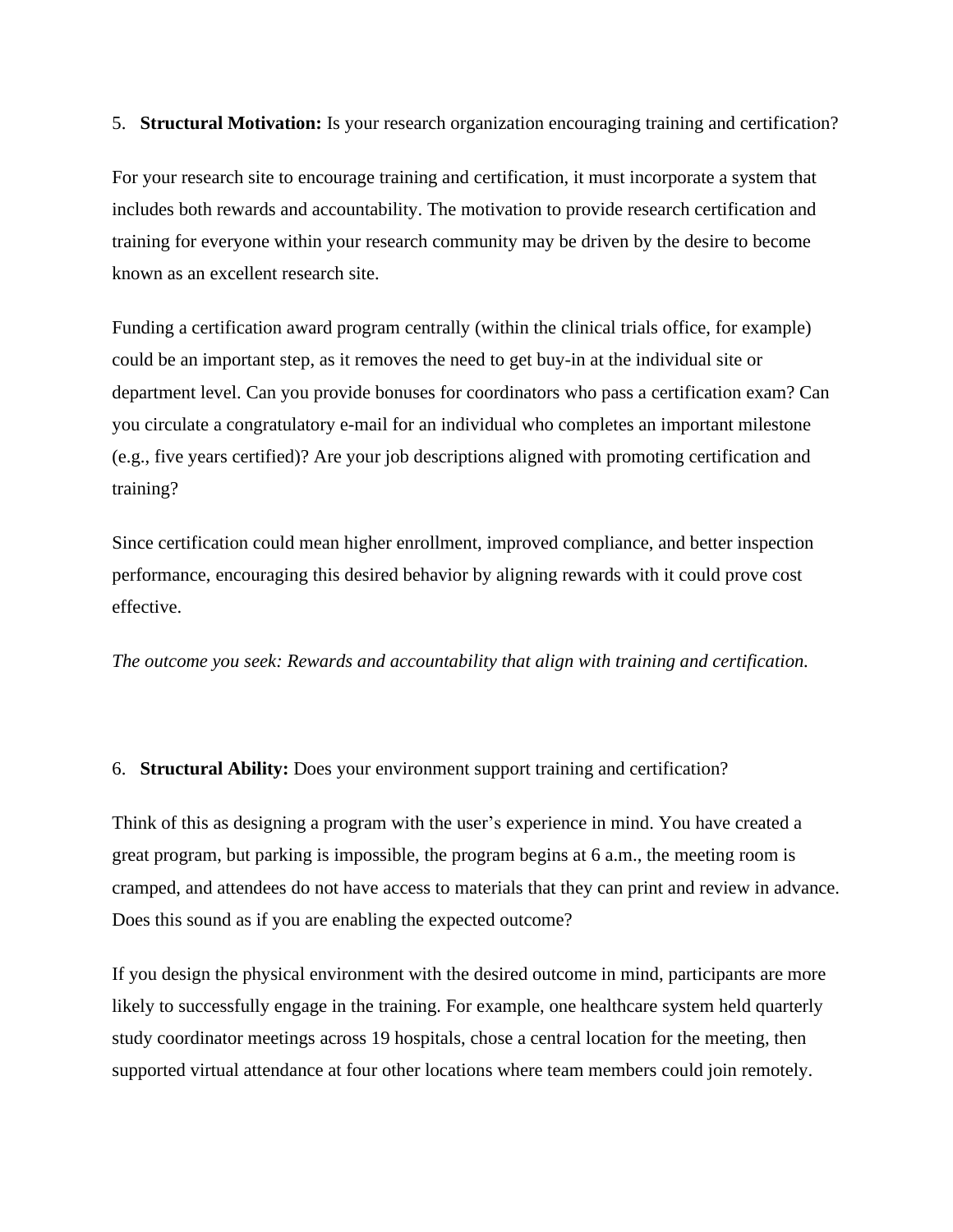# 5. **Structural Motivation:** Is your research organization encouraging training and certification?

For your research site to encourage training and certification, it must incorporate a system that includes both rewards and accountability. The motivation to provide research certification and training for everyone within your research community may be driven by the desire to become known as an excellent research site.

Funding a certification award program centrally (within the clinical trials office, for example) could be an important step, as it removes the need to get buy-in at the individual site or department level. Can you provide bonuses for coordinators who pass a certification exam? Can you circulate a congratulatory e-mail for an individual who completes an important milestone (e.g., five years certified)? Are your job descriptions aligned with promoting certification and training?

Since certification could mean higher enrollment, improved compliance, and better inspection performance, encouraging this desired behavior by aligning rewards with it could prove cost effective.

*The outcome you seek: Rewards and accountability that align with training and certification.*

# 6. **Structural Ability:** Does your environment support training and certification?

Think of this as designing a program with the user's experience in mind. You have created a great program, but parking is impossible, the program begins at 6 a.m., the meeting room is cramped, and attendees do not have access to materials that they can print and review in advance. Does this sound as if you are enabling the expected outcome?

If you design the physical environment with the desired outcome in mind, participants are more likely to successfully engage in the training. For example, one healthcare system held quarterly study coordinator meetings across 19 hospitals, chose a central location for the meeting, then supported virtual attendance at four other locations where team members could join remotely.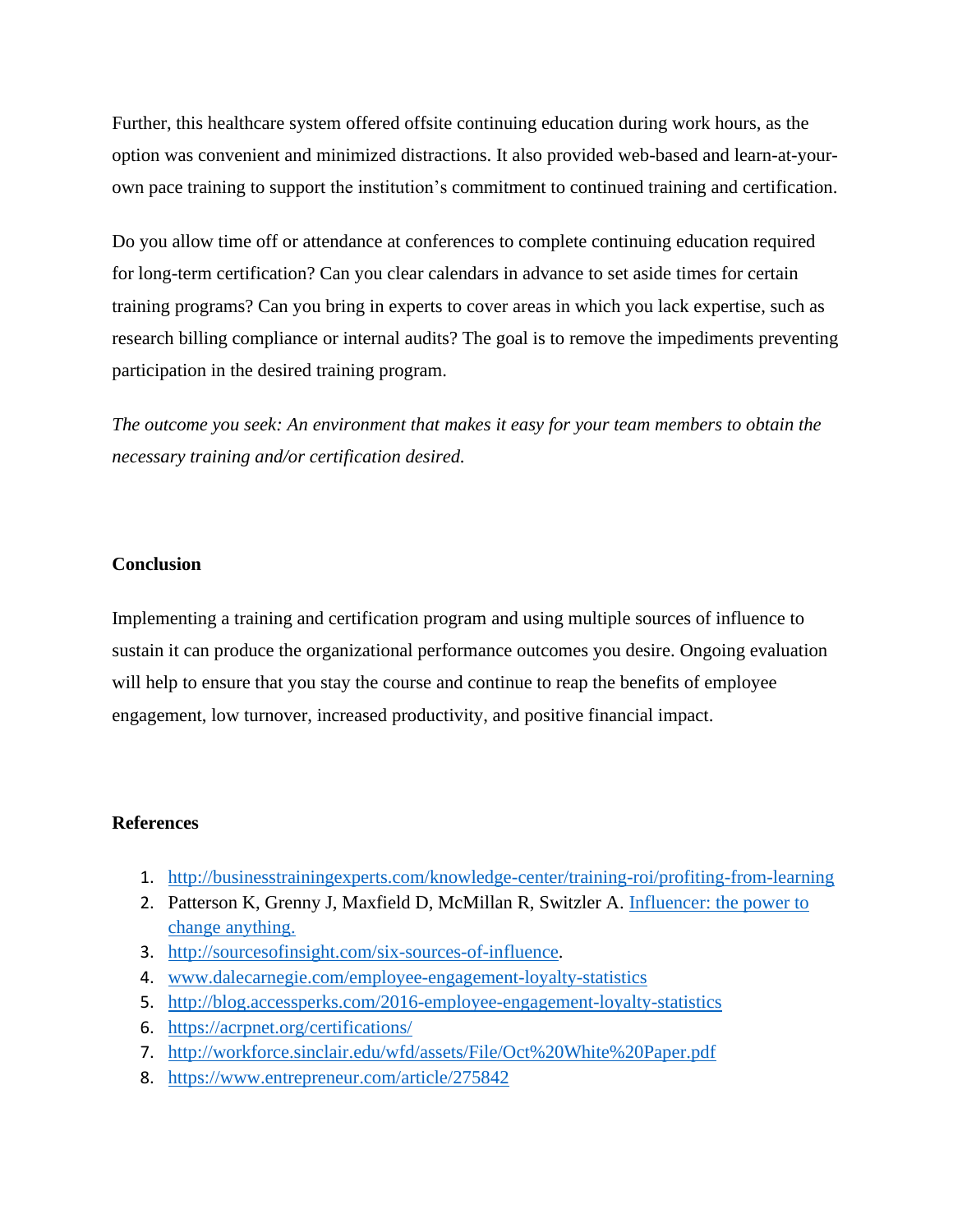Further, this healthcare system offered offsite continuing education during work hours, as the option was convenient and minimized distractions. It also provided web-based and learn-at-yourown pace training to support the institution's commitment to continued training and certification.

Do you allow time off or attendance at conferences to complete continuing education required for long-term certification? Can you clear calendars in advance to set aside times for certain training programs? Can you bring in experts to cover areas in which you lack expertise, such as research billing compliance or internal audits? The goal is to remove the impediments preventing participation in the desired training program.

*The outcome you seek: An environment that makes it easy for your team members to obtain the necessary training and/or certification desired.*

# **Conclusion**

Implementing a training and certification program and using multiple sources of influence to sustain it can produce the organizational performance outcomes you desire. Ongoing evaluation will help to ensure that you stay the course and continue to reap the benefits of employee engagement, low turnover, increased productivity, and positive financial impact.

## **References**

- 1. <http://businesstrainingexperts.com/knowledge-center/training-roi/profiting-from-learning>
- 2. Patterson K, Grenny J, Maxfield D, McMillan R, Switzler A. *Influencer: the power to* [change anything.](https://www.amazon.com/Influencer-Change-Anything-Joseph-Grenny/dp/1598875760/ref=asc_df_1598875760/?tag=hyprod-20&linkCode=df0&hvadid=312139954763&hvpos=1o1&hvnetw=g&hvrand=18422653358321088172&hvpone=&hvptwo=&hvqmt=&hvdev=c&hvdvcmdl=&hvlocint=&hvlocphy=9019109&hvtargid=pla-592917699994&psc=1)
- 3. [http://sourcesofinsight.com/six-sources-of-influence.](http://sourcesofinsight.com/six-sources-of-influence)
- 4. [www.dalecarnegie.com/employee-engagement-loyalty-statistics](http://www.dalecarnegie.com/employee-engagement-loyalty-statistics)
- 5. <http://blog.accessperks.com/2016-employee-engagement-loyalty-statistics>
- 6. <https://acrpnet.org/certifications/>
- 7. <http://workforce.sinclair.edu/wfd/assets/File/Oct%20White%20Paper.pdf>
- 8. <https://www.entrepreneur.com/article/275842>